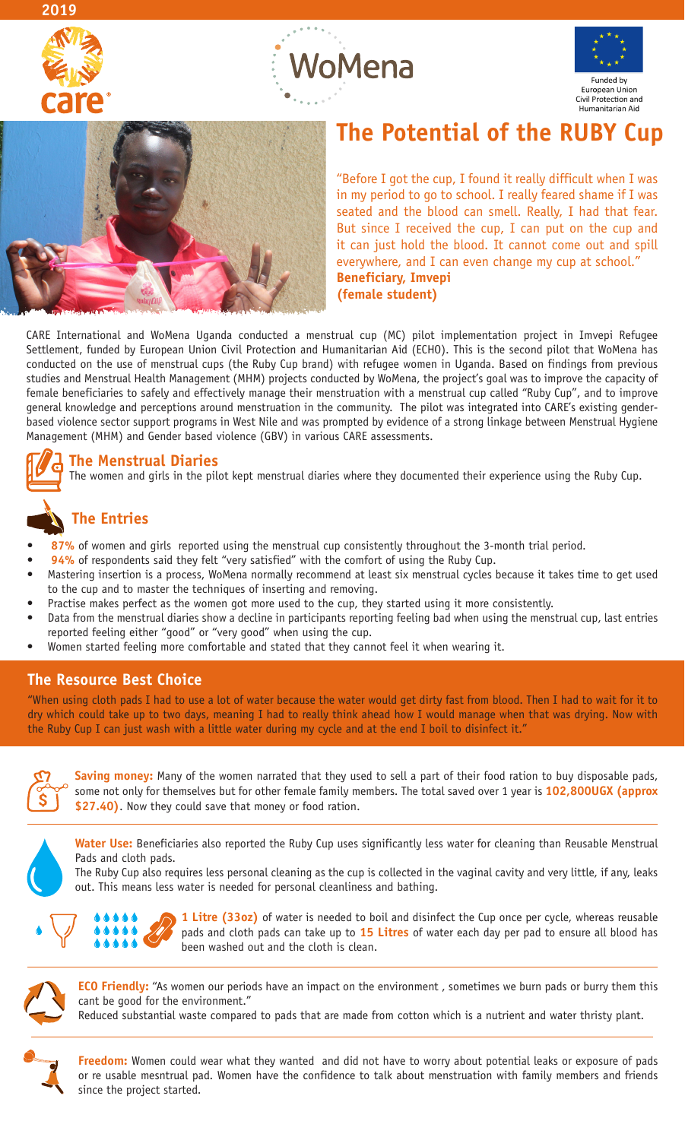







# **The Potential of the RUBY Cup**

"Before I got the cup, I found it really difficult when I was in my period to go to school. I really feared shame if I was seated and the blood can smell. Really, I had that fear. But since I received the cup, I can put on the cup and it can just hold the blood. It cannot come out and spill everywhere, and I can even change my cup at school." **Beneficiary, Imvepi (female student)**

CARE International and WoMena Uganda conducted a menstrual cup (MC) pilot implementation project in Imvepi Refugee Settlement, funded by European Union Civil Protection and Humanitarian Aid (ECHO). This is the second pilot that WoMena has conducted on the use of menstrual cups (the Ruby Cup brand) with refugee women in Uganda. Based on findings from previous studies and Menstrual Health Management (MHM) projects conducted by WoMena, the project's goal was to improve the capacity of female beneficiaries to safely and effectively manage their menstruation with a menstrual cup called "Ruby Cup", and to improve general knowledge and perceptions around menstruation in the community. The pilot was integrated into CARE's existing genderbased violence sector support programs in West Nile and was prompted by evidence of a strong linkage between Menstrual Hygiene Management (MHM) and Gender based violence (GBV) in various CARE assessments.

### **The Menstrual Diaries**

The women and girls in the pilot kept menstrual diaries where they documented their experience using the Ruby Cup.

## **The Entries**

- 87% of women and girls reported using the menstrual cup consistently throughout the 3-month trial period.
- 94% of respondents said they felt "very satisfied" with the comfort of using the Ruby Cup.
- Mastering insertion is a process, WoMena normally recommend at least six menstrual cycles because it takes time to get used to the cup and to master the techniques of inserting and removing.
- Practise makes perfect as the women got more used to the cup, they started using it more consistently.
- Data from the menstrual diaries show a decline in participants reporting feeling bad when using the menstrual cup, last entries reported feeling either "good" or "very good" when using the cup.
- Women started feeling more comfortable and stated that they cannot feel it when wearing it.

### **The Resource Best Choice**

"When using cloth pads I had to use a lot of water because the water would get dirty fast from blood. Then I had to wait for it to dry which could take up to two days, meaning I had to really think ahead how I would manage when that was drying. Now with the Ruby Cup I can just wash with a little water during my cycle and at the end I boil to disinfect it."



**Saving money:** Many of the women narrated that they used to sell a part of their food ration to buy disposable pads, some not only for themselves but for other female family members. The total saved over 1 year is **102,800UGX (approx \$27.40)**. Now they could save that money or food ration.



**Water Use:** Beneficiaries also reported the Ruby Cup uses significantly less water for cleaning than Reusable Menstrual Pads and cloth pads.

The Ruby Cup also requires less personal cleaning as the cup is collected in the vaginal cavity and very little, if any, leaks out. This means less water is needed for personal cleanliness and bathing.



**1 Litre (33oz)** of water is needed to boil and disinfect the Cup once per cycle, whereas reusable pads and cloth pads can take up to **15 Litres** of water each day per pad to ensure all blood has been washed out and the cloth is clean.



**ECO Friendly:** "As women our periods have an impact on the environment, sometimes we burn pads or burry them this cant be good for the environment."

Reduced substantial waste compared to pads that are made from cotton which is a nutrient and water thristy plant.

**Freedom:** Women could wear what they wanted and did not have to worry about potential leaks or exposure of pads or re usable mesntrual pad. Women have the confidence to talk about menstruation with family members and friends since the project started.